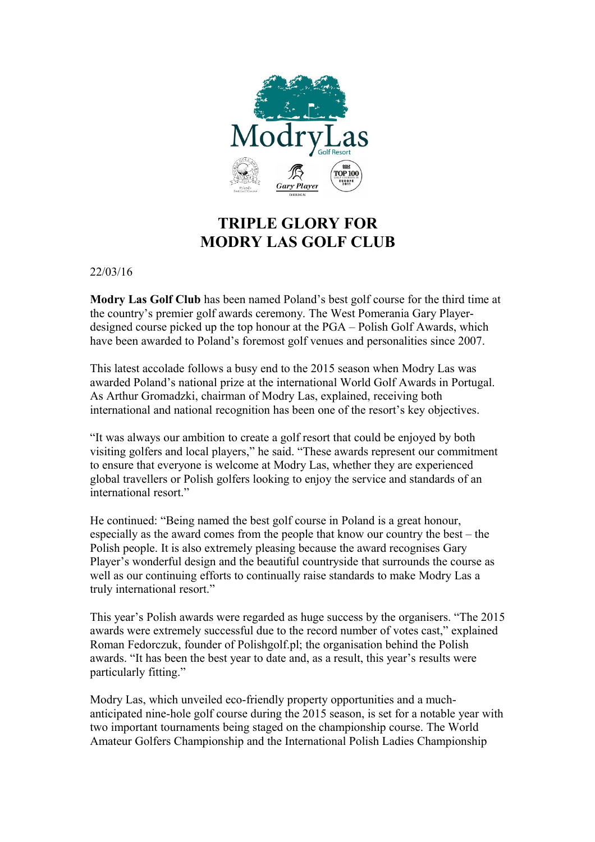

## **TRIPLE GLORY FOR MODRY LAS GOLF CLUB**

22/03/16

**Modry Las Golf Club** has been named Poland's best golf course for the third time at the country's premier golf awards ceremony. The West Pomerania Gary Playerdesigned course picked up the top honour at the PGA – Polish Golf Awards, which have been awarded to Poland's foremost golf venues and personalities since 2007.

This latest accolade follows a busy end to the 2015 season when Modry Las was awarded Poland's national prize at the international World Golf Awards in Portugal. As Arthur Gromadzki, chairman of Modry Las, explained, receiving both international and national recognition has been one of the resort's key objectives.

"It was always our ambition to create a golf resort that could be enjoyed by both visiting golfers and local players," he said. "These awards represent our commitment to ensure that everyone is welcome at Modry Las, whether they are experienced global travellers or Polish golfers looking to enjoy the service and standards of an international resort."

He continued: "Being named the best golf course in Poland is a great honour, especially as the award comes from the people that know our country the best – the Polish people. It is also extremely pleasing because the award recognises Gary Player's wonderful design and the beautiful countryside that surrounds the course as well as our continuing efforts to continually raise standards to make Modry Las a truly international resort."

This year's Polish awards were regarded as huge success by the organisers. "The 2015 awards were extremely successful due to the record number of votes cast," explained Roman Fedorczuk, founder of Polishgolf.pl; the organisation behind the Polish awards. "It has been the best year to date and, as a result, this year's results were particularly fitting."

Modry Las, which unveiled eco-friendly property opportunities and a muchanticipated nine-hole golf course during the 2015 season, is set for a notable year with two important tournaments being staged on the championship course. The World Amateur Golfers Championship and the International Polish Ladies Championship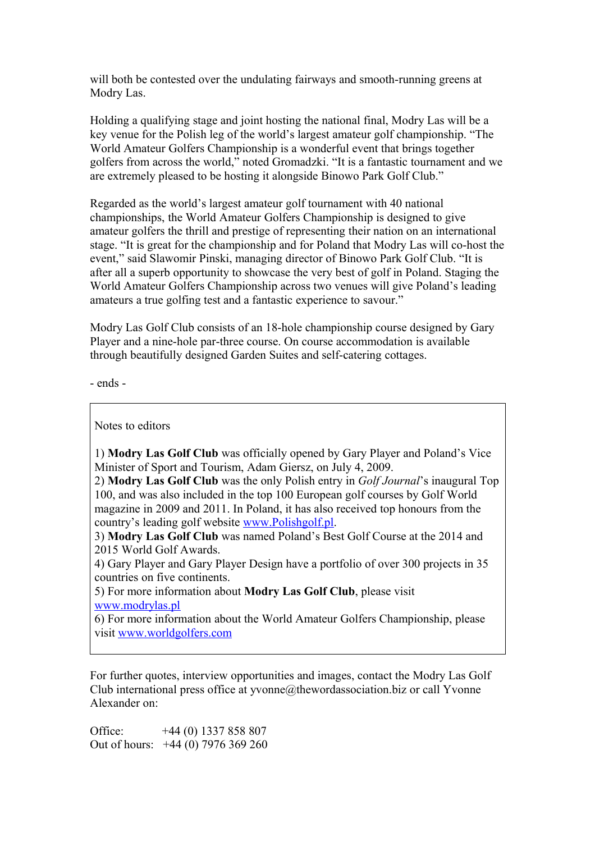will both be contested over the undulating fairways and smooth-running greens at Modry Las.

Holding a qualifying stage and joint hosting the national final, Modry Las will be a key venue for the Polish leg of the world's largest amateur golf championship. "The World Amateur Golfers Championship is a wonderful event that brings together golfers from across the world," noted Gromadzki. "It is a fantastic tournament and we are extremely pleased to be hosting it alongside Binowo Park Golf Club."

Regarded as the world's largest amateur golf tournament with 40 national championships, the World Amateur Golfers Championship is designed to give amateur golfers the thrill and prestige of representing their nation on an international stage. "It is great for the championship and for Poland that Modry Las will co-host the event," said Slawomir Pinski, managing director of Binowo Park Golf Club. "It is after all a superb opportunity to showcase the very best of golf in Poland. Staging the World Amateur Golfers Championship across two venues will give Poland's leading amateurs a true golfing test and a fantastic experience to savour."

Modry Las Golf Club consists of an 18-hole championship course designed by Gary Player and a nine-hole par-three course. On course accommodation is available through beautifully designed Garden Suites and self-catering cottages.

- ends -

Notes to editors

1) **Modry Las Golf Club** was officially opened by Gary Player and Poland's Vice Minister of Sport and Tourism, Adam Giersz, on July 4, 2009.

2) **Modry Las Golf Club** was the only Polish entry in *Golf Journal*'s inaugural Top 100, and was also included in the top 100 European golf courses by Golf World magazine in 2009 and 2011. In Poland, it has also received top honours from the country's leading golf website [www.Polishgolf.pl.](http://www.Polishgolf.pl/)

3) **Modry Las Golf Club** was named Poland's Best Golf Course at the 2014 and 2015 World Golf Awards.

4) Gary Player and Gary Player Design have a portfolio of over 300 projects in 35 countries on five continents.

5) For more information about **Modry Las Golf Club**, please visit [www.modrylas.pl](http://www.modrylas.pl/)

6) For more information about the World Amateur Golfers Championship, please visit [www.worldgolfers.com](http://www.worldgolfers.com/)

For further quotes, interview opportunities and images, contact the Modry Las Golf Club international press office at  $v$ vonne $@$ thewordassociation.biz or call Yvonne Alexander on:

Office: +44 (0) 1337 858 807 Out of hours: +44 (0) 7976 369 260